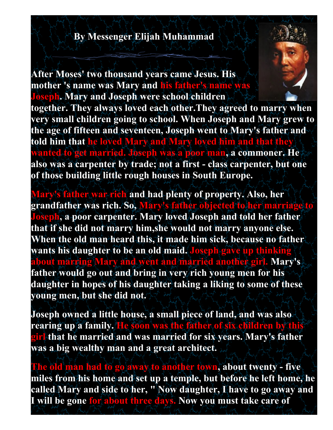## **By Messenger Elijah Muhammad**

**After Moses' two thousand years came Jesus. His mother 's name was Mary and his father's name was Joseph. Mary and Joseph were school children**

**together. They always loved each other.They agreed to marry when very small children going to school. When Joseph and Mary grew to the age of fifteen and seventeen, Joseph went to Mary's father and told him that he loved Mary and Mary loved him and that they wanted to get married. Joseph was a poor man, a commoner. He also was a carpenter by trade; not a first - class carpenter, but one of those building little rough houses in South Europe.**

**Mary's father war rich and had plenty of property. Also, her grandfather was rich. So, Mary's father objected to her marriage to Joseph, a poor carpenter. Mary loved Joseph and told her father that if she did not marry him,she would not marry anyone else. When the old man heard this, it made him sick, because no father wants his daughter to be an old maid. Joseph gave up thinking about marring Mary and went and married another girl. Mary's father would go out and bring in very rich young men for his daughter in hopes of his daughter taking a liking to some of these young men, but she did not.**

**Joseph owned a little house, a small piece of land, and was also rearing up a family. He soon was the father of six children by this girl that he married and was married for six years. Mary's father was a big wealthy man and a great architect.**

**The old man had to go away to another town, about twenty - five miles from his home and set up a temple, but before he left home, he called Mary and side to her, " Now daughter, I have to go away and I will be gone for about three days. Now you must take care of**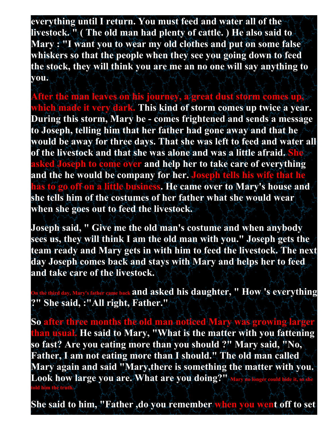**everything until I return. You must feed and water all of the livestock. " ( The old man had plenty of cattle. ) He also said to Mary : "I want you to wear my old clothes and put on some false whiskers so that the people when they see you going down to feed the stock, they will think you are me an no one will say anything to you.**

**After the man leaves on his journey, a great dust storm comes up, which made it very dark. This kind of storm comes up twice a year. During this storm, Mary be - comes frightened and sends a message to Joseph, telling him that her father had gone away and that he would be away for three days. That she was left to feed and water all of the livestock and that she was alone and was a little afraid. She asked Joseph to come over and help her to take care of everything and the he would be company for her. Joseph tells his wife that he has to go off on a little business. He came over to Mary's house and she tells him of the costumes of her father what she would wear when she goes out to feed the livestock.**

**Joseph said, " Give me the old man's costume and when anybody sees us, they will think I am the old man with you." Joseph gets the team ready and Mary gets in with him to feed the livestock. The next day Joseph comes back and stays with Mary and helps her to feed and take care of the livestock.**

**ber came back and asked his daughter, " How 's everything ?" She said, :"All right, Father."**

**So after three months the old man noticed Mary was growing larger than usual. He said to Mary, "What is the matter with you fattening so fast? Are you eating more than you should ?" Mary said, "No, Father, I am not eating more than I should." The old man called Mary again and said "Mary,there is something the matter with you. Look how large you are. What are you doing?" Mary no longer could hide it, so she told him the truth.**

**She said to him, "Father ,do you remember when you went off to set**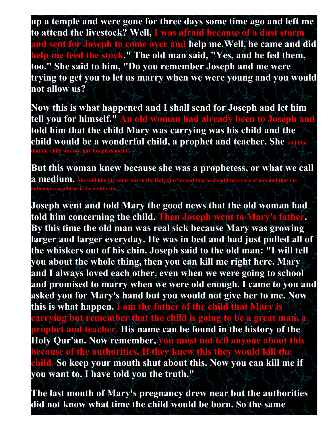**up a temple and were gone for three days some time ago and left me to attend the livestock? Well, I was afraid because of a dust storm and sent for Joseph to come over and help me.Well, he came and did help me feed the stock." The old man said, "Yes, and he fed them, too." She said to him, "Do you remember Joseph and me were trying to get you to let us marry when we were young and you would not allow us?**

**Now this is what happened and I shall send for Joseph and let him tell you for himself." An old woman had already been to Joseph and told him that the child Mary was carrying was his child and the child would be a wonderful child, a prophet and teacher. She told him**  <mark>t the child was his, but J</mark>

**But this woman knew because she was a prophetess, or what we call a medium. She told him his name was in the Holy Qur'an and that he should take care of him and that the authorities would seek the child's life.**

**Joseph went and told Mary the good news that the old woman had told him concerning the child. Then Joseph went to Mary's father. By this time the old man was real sick because Mary was growing larger and larger everyday. He was in bed and had just pulled all of the whiskers out of his chin. Joseph said to the old man: "I will tell you about the whole thing, then you can kill me right here. Mary and I always loved each other, even when we were going to school and promised to marry when we were old enough. I came to you and asked you for Mary's hand but you would not give her to me. Now this is what happen. I am the father of the child that Mary is carrying but remember that the child is going to be a great man, a prophet and teacher. His name can be found in the history of the Holy Qur'an. Now remember, you must not tell anyone about this because of the authorities. If they knew this they would kill the child. So keep your mouth shut about this. Now you can kill me if you want to. I have told you the truth."**

**The last month of Mary's pregnancy drew near but the authorities did not know what time the child would be born. So the same**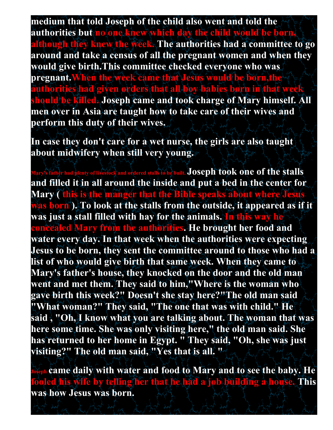**medium that told Joseph of the child also went and told the authorities but no one knew which day the child would be born, although they knew the week. The authorities had a committee to go around and take a census of all the pregnant women and when they would give birth.This committee checked everyone who was pregnant.When the week came that Jesus would be born,the authorities had given orders that all boy babies born in that week should be killed. Joseph came and took charge of Mary himself. All men over in Asia are taught how to take care of their wives and perform this duty of their wives.**

**In case they don't care for a wet nurse, the girls are also taught about midwifery when still very young.**

**Mather had plenty of livestock and ordered stalls to be built. Joseph took one of the stalls and filled it in all around the inside and put a bed in the center for Mary ( this is the manger that the Bible speaks about where Jesus was born ). To look at the stalls from the outside, it appeared as if it was just a stall filled with hay for the animals. In this way he concealed Mary from the authorities. He brought her food and water every day. In that week when the authorities were expecting Jesus to be born, they sent the committee around to those who had a list of who would give birth that same week. When they came to Mary's father's house, they knocked on the door and the old man went and met them. They said to him,"Where is the woman who gave birth this week?" Doesn't she stay here?"The old man said "What woman?" They said, "The one that was with child." He said , "Oh, I know what you are talking about. The woman that was here some time. She was only visiting here," the old man said. She has returned to her home in Egypt. " They said, "Oh, she was just visiting?" The old man said, "Yes that is all. "**

**Joseph came daily with water and food to Mary and to see the baby. He fooled his wife by telling her that he had a job building a house. This was how Jesus was born.**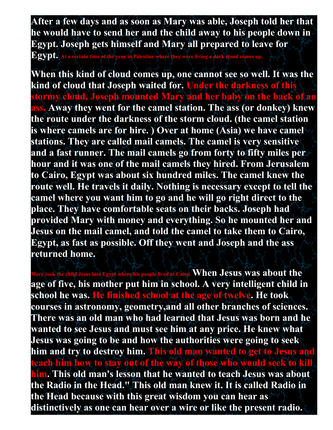**After a few days and as soon as Mary was able, Joseph told her that he would have to send her and the child away to his people down in Egypt. Joseph gets himself and Mary all prepared to leave for** 

 $\mathbf{ Egypt}_{\bullet}$  At a certain time of the year in Palestine where they were living a dark cloud c

**When this kind of cloud comes up, one cannot see so well. It was the kind of cloud that Joseph waited for. Under the darkness of this stormy cloud, Joseph mounted Mary and her baby on the back of an Away they went for the camel station. The ass (or donkey) knew the route under the darkness of the storm cloud. (the camel station is where camels are for hire. ) Over at home (Asia) we have camel stations. They are called mail camels. The camel is very sensitive and a fast runner. The mail camels go from forty to fifty miles per hour and it was one of the mail camels they hired. From Jerusalem to Cairo, Egypt was about six hundred miles. The camel knew the route well. He travels it daily. Nothing is necessary except to tell the camel where you want him to go and he will go right direct to the place. They have comfortable seats on their backs. Joseph had provided Mary with money and everything. So he mounted her and Jesus on the mail camel, and told the camel to take them to Cairo, Egypt, as fast as possible. Off they went and Joseph and the ass returned home.**

**Mary Equipmed Equipped at Cairo: When Jesus was about the age of five, his mother put him in school. A very intelligent child in school he was. He finished school at the age of twelve. He took courses in astronomy, geometry,and all other branches of sciences. There was an old man who had learned that Jesus was born and he wanted to see Jesus and must see him at any price. He knew what Jesus was going to be and how the authorities were going to seek him and try to destroy him. This old man wanted to get to Jesus and teach him how to stay out of the way of those who would seek to kill him. This old man's lesson that he wanted to teach Jesus was about the Radio in the Head." This old man knew it. It is called Radio in the Head because with this great wisdom you can hear as distinctively as one can hear over a wire or like the present radio.**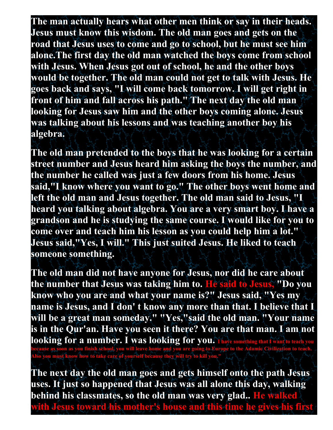**The man actually hears what other men think or say in their heads. Jesus must know this wisdom. The old man goes and gets on the road that Jesus uses to come and go to school, but he must see him alone.The first day the old man watched the boys come from school with Jesus. When Jesus got out of school, he and the other boys would be together. The old man could not get to talk with Jesus. He goes back and says, "I will come back tomorrow. I will get right in front of him and fall across his path." The next day the old man looking for Jesus saw him and the other boys coming alone. Jesus was talking about his lessons and was teaching another boy his algebra.**

**The old man pretended to the boys that he was looking for a certain street number and Jesus heard him asking the boys the number, and the number he called was just a few doors from his home. Jesus said,"I know where you want to go." The other boys went home and left the old man and Jesus together. The old man said to Jesus, "I heard you talking about algebra. You are a very smart boy. I have a grandson and he is studying the same course. I would like for you to come over and teach him his lesson as you could help him a lot." Jesus said,"Yes, I will." This just suited Jesus. He liked to teach someone something.**

**The old man did not have anyone for Jesus, nor did he care about the number that Jesus was taking him to. He said to Jesus, "Do you know who you are and what your name is?" Jesus said, "Yes my name is Jesus, and I don' t know any more than that. I believe that I will be a great man someday." "Yes,"said the old man. "Your name is in the Qur'an. Have you seen it there? You are that man. I am not looking for a number. I was looking for you.** That e something t **because as soon as you finish school, you will leave home and you are going to Europe to the Adamic Civilization to teach.** 

**Also you must know how to take care of yourself because they will try to kill you."**

**The next day the old man goes and gets himself onto the path Jesus uses. It just so happened that Jesus was all alone this day, walking behind his classmates, so the old man was very glad.. He walked with Jesus toward his mother's house and this time he gives his first**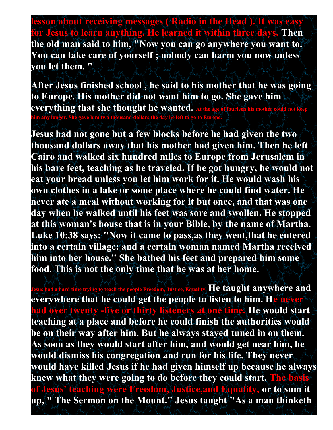**lesson about receiving messages ( Radio in the Head ). It was**  $\epsilon$ **for Jesus to learn anything. He learned it within three days. Then the old man said to him, "Now you can go anywhere you want to. You can take care of yourself ; nobody can harm you now unless you let them. "**

**After Jesus finished school , he said to his mother that he was going to Europe. His mother did not want him to go. She gave him everything that she thought he wanted.** At the **him any longer. She gave him two thousand dollars the day he left to go to Europe.**

**Jesus had not gone but a few blocks before he had given the two thousand dollars away that his mother had given him. Then he left Cairo and walked six hundred miles to Europe from Jerusalem in his bare feet, teaching as he traveled. If he got hungry, he would not eat your bread unless you let him work for it. He would wash his own clothes in a lake or some place where he could find water. He never ate a meal without working for it but once, and that was one day when he walked until his feet was sore and swollen. He stopped at this woman's house that is in your Bible, by the name of Martha. Luke 10:38 says: "Now it came to pass,as they went,that he entered into a certain village: and a certain woman named Martha received him into her house." She bathed his feet and prepared him some food. This is not the only time that he was at her home.**

**He taught anywhere and everywhere that he could get the people to listen to him. He never had over twenty -five or thirty listeners at one time. He would start teaching at a place and before he could finish the authorities would be on their way after him. But he always stayed tuned in on them. As soon as they would start after him, and would get near him, he would dismiss his congregation and run for his life. They never would have killed Jesus if he had given himself up because he always knew what they were going to do before they could start. The basis of Jesus' teaching were Freedom, Justice,and Equality, or to sum it up, " The Sermon on the Mount." Jesus taught "As a man thinketh**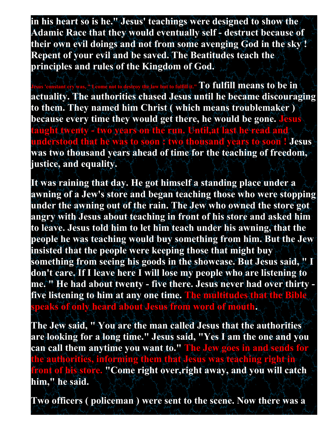**in his heart so is he." Jesus' teachings were designed to show the Adamic Race that they would eventually self - destruct because of their own evil doings and not from some avenging God in the sky ! Repent of your evil and be saved. The Beatitudes teach the principles and rules of the Kingdom of God.**

**Jesus 'constant cry was, " I come not to destroy the law but to fulfill it." To fulfill means to be in actuality. The authorities chased Jesus until he became discouraging to them. They named him Christ ( which means troublemaker ) because every time they would get there, he would be gone. Jesus taught twenty - two years on the run. Until,at last he read and understood that he was to soon : two thousand years to soon ! Jesus was two thousand years ahead of time for the teaching of freedom, justice, and equality.**

**It was raining that day. He got himself a standing place under a awning of a Jew's store and began teaching those who were stopping under the awning out of the rain. The Jew who owned the store got angry with Jesus about teaching in front of his store and asked him to leave. Jesus told him to let him teach under his awning, that the people he was teaching would buy something from him. But the Jew insisted that the people were keeping those that might buy something from seeing his goods in the showcase. But Jesus said, " I don't care. If I leave here I will lose my people who are listening to me. " He had about twenty - five there. Jesus never had over thirty five listening to him at any one time. The multitudes that the Bible speaks of only heard about Jesus from word of mouth.**

**The Jew said, " You are the man called Jesus that the authorities are looking for a long time." Jesus said, "Yes I am the one and you can call them anytime you want to." The Jew goes in and sends for the authorities, informing them that Jesus was teaching right in front of his store. "Come right over,right away, and you will catch him," he said.**

**Two officers ( policeman ) were sent to the scene. Now there was a**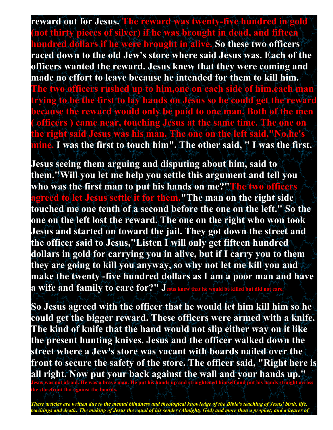**reward out for Jesus. The reward was twenty-five hundred in gold (not thirty pieces of silver) if he was brought in dead, and fifteen hundred dollars if he were brought in alive. So these two officers raced down to the old Jew's store where said Jesus was. Each of the officers wanted the reward. Jesus knew that they were coming and made no effort to leave because he intended for them to kill him. The two officers rushed up to him,one on each side of him,each man trying to be the first to lay hands on Jesus so he could get the reward because the reward would only be paid to one man. Both of the men ( officers ) came near, touching Jesus at the same time. The one on the right said Jesus was his man. The one on the left said,"No mine. I was the first to touch him". The other said, " I was the first.**

**Jesus seeing them arguing and disputing about him, said to them."Will you let me help you settle this argument and tell you who was the first man to put his hands on me?"The two officers agreed to let Jesus settle it for them."The man on the right side touched me one tenth of a second before the one on the left." So the one on the left lost the reward. The one on the right who won took Jesus and started on toward the jail. They got down the street and the officer said to Jesus,"Listen I will only get fifteen hundred dollars in gold for carrying you in alive, but if I carry you to them they are going to kill you anyway, so why not let me kill you and make the twenty -five hundred dollars as I am a poor man and have a wife and family to care for?" J**esus knew that he would be killed but did not care.

**So Jesus agreed with the officer that he would let him kill him so he could get the bigger reward. These officers were armed with a knife. The kind of knife that the hand would not slip either way on it like the present hunting knives. Jesus and the officer walked down the street where a Jew's store was vacant with boards nailed over the front to secure the safety of the store. The officer said, "Right here is all right. Now put your back against the wall and your hands up."** 

**Jesus was not afraid. He was a brave man. He put his hands up and straightened himself and put his hands straight across the storefront flat against the boards.**

*These articles are written due to the mental blindness and theological knowledge of the Bible's teaching of Jesus' birth, life, teachings and death: The making of Jesus the equal of his sender (Almighty God) and more than a prophet; and a hearer of*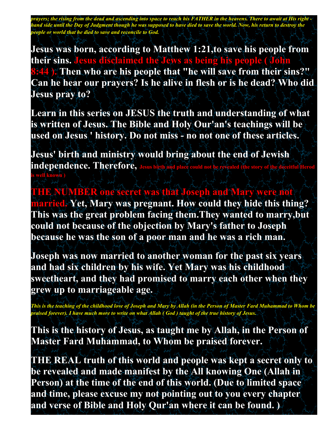*prayers; the rising from the dead and ascending into space to reach his FATHER in the heavens. There to await at His right hand side until the Day of Judgment though he was supposed to have died to save the world. Now, his return to destroy the people or world that he died to save and reconcile to God.*

**Jesus was born, according to Matthew 1:21,to save his people from their sins. Jesus disclaimed the Jews as being his people ( John 8:44 ). Then who are his people that "he will save from their sins?" Can he hear our prayers? Is he alive in flesh or is he dead? Who did Jesus pray to?**

**Learn in this series on JESUS the truth and understanding of what is written of Jesus. The Bible and Holy Our'an's teachings will be used on Jesus ' history. Do not miss - no not one of these articles.**

**Jesus' birth and ministry would bring about the end of Jewish independence. Therefore, Jesus birth and place is well known )**

**THE NUMBER one secret was that Joseph and Mary were not married. Yet, Mary was pregnant. How could they hide this thing? This was the great problem facing them.They wanted to marry,but could not because of the objection by Mary's father to Joseph because he was the son of a poor man and he was a rich man.**

**Joseph was now married to another woman for the past six years and had six children by his wife. Yet Mary was his childhood sweetheart, and they had promised to marry each other when they grew up to marriageable age.**

*This is the teaching of the childhood love of Joseph and Mary by Allah (in the Person of Master Fard Muhammad to Whom be praised forever). I have much more to write on what Allah ( God ) taught of the true history of Jesus.*

**This is the history of Jesus, as taught me by Allah, in the Person of Master Fard Muhammad, to Whom be praised forever.**

**THE REAL truth of this world and people was kept a secret only to be revealed and made manifest by the All knowing One (Allah in Person) at the time of the end of this world. (Due to limited space and time, please excuse my not pointing out to you every chapter and verse of Bible and Holy Qur'an where it can be found. )**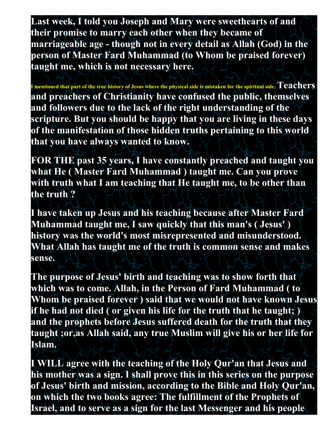**Last week, I told you Joseph and Mary were sweethearts of and their promise to marry each other when they became of marriageable age - though not in every detail as Allah (God) in the person of Master Fard Muhammad (to Whom be praised forever) taught me, which is not necessary here.**

**I mentioned that part of the true history of Jesus where the physical side is mistaken for the spiritual side. Teachers and preachers of Christianity have confused the public, themselves and followers due to the lack of the right understanding of the scripture. But you should be happy that you are living in these days of the manifestation of those hidden truths pertaining to this world that you have always wanted to know.**

**FOR THE past 35 years, I have constantly preached and taught you what He ( Master Fard Muhammad ) taught me. Can you prove with truth what I am teaching that He taught me, to be other than the truth ?**

**I have taken up Jesus and his teaching because after Master Fard Muhammad taught me, I saw quickly that this man's ( Jesus' ) history was the world's most misrepresented and misunderstood. What Allah has taught me of the truth is common sense and makes sense.**

**The purpose of Jesus' birth and teaching was to show forth that which was to come. Allah, in the Person of Fard Muhammad ( to Whom be praised forever ) said that we would not have known Jesus if he had not died ( or given his life for the truth that he taught; ) and the prophets before Jesus suffered death for the truth that they taught ;or,as Allah said, any true Muslim will give his or her life for Islam.**

**I WILL agree with the teaching of the Holy Qur'an that Jesus and his mother was a sign. I shall prove this in this series on the purpose of Jesus' birth and mission, according to the Bible and Holy Qur'an, on which the two books agree: The fulfillment of the Prophets of Israel, and to serve as a sign for the last Messenger and his people**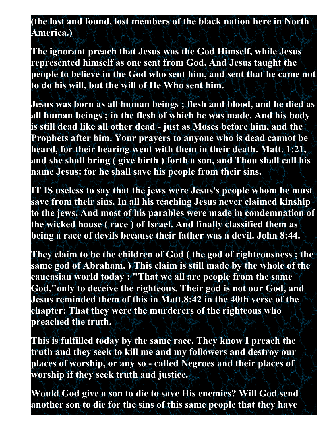**(the lost and found, lost members of the black nation here in North America.)**

**The ignorant preach that Jesus was the God Himself, while Jesus represented himself as one sent from God. And Jesus taught the people to believe in the God who sent him, and sent that he came not to do his will, but the will of He Who sent him.**

**Jesus was born as all human beings ; flesh and blood, and he died as all human beings ; in the flesh of which he was made. And his body is still dead like all other dead - just as Moses before him, and the Prophets after him. Your prayers to anyone who is dead cannot be heard, for their hearing went with them in their death. Matt. 1:21, and she shall bring ( give birth ) forth a son, and Thou shall call his name Jesus: for he shall save his people from their sins.**

**IT IS useless to say that the jews were Jesus's people whom he must save from their sins. In all his teaching Jesus never claimed kinship to the jews. And most of his parables were made in condemnation of the wicked house ( race ) of Israel. And finally classified them as being a race of devils because their father was a devil. John 8:44.**

**They claim to be the children of God ( the god of righteousness ; the same god of Abraham. ) This claim is still made by the whole of the caucasian world today : "That we all are people from the same God,"only to deceive the righteous. Their god is not our God, and Jesus reminded them of this in Matt.8:42 in the 40th verse of the chapter: That they were the murderers of the righteous who preached the truth.**

**This is fulfilled today by the same race. They know I preach the truth and they seek to kill me and my followers and destroy our places of worship, or any so - called Negroes and their places of worship if they seek truth and justice.**

**Would God give a son to die to save His enemies? Will God send another son to die for the sins of this same people that they have**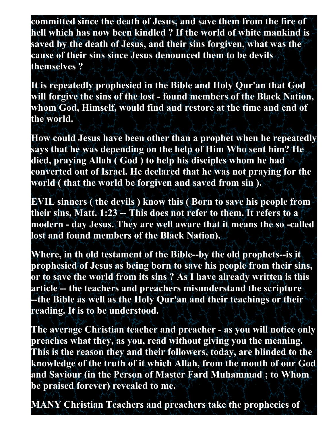**committed since the death of Jesus, and save them from the fire of hell which has now been kindled ? If the world of white mankind is saved by the death of Jesus, and their sins forgiven, what was the cause of their sins since Jesus denounced them to be devils themselves ?**

**It is repeatedly prophesied in the Bible and Holy Qur'an that God will forgive the sins of the lost - found members of the Black Nation, whom God, Himself, would find and restore at the time and end of the world.**

**How could Jesus have been other than a prophet when he repeatedly says that he was depending on the help of Him Who sent him? He died, praying Allah ( God ) to help his disciples whom he had converted out of Israel. He declared that he was not praying for the world ( that the world be forgiven and saved from sin ).**

**EVIL sinners ( the devils ) know this ( Born to save his people from their sins, Matt. 1:23 -- This does not refer to them. It refers to a modern - day Jesus. They are well aware that it means the so -called lost and found members of the Black Nation).**

**Where, in th old testament of the Bible--by the old prophets--is it prophesied of Jesus as being born to save his people from their sins, or to save the world from its sins ? As I have already written is this article -- the teachers and preachers misunderstand the scripture --the Bible as well as the Holy Qur'an and their teachings or their reading. It is to be understood.**

**The average Christian teacher and preacher - as you will notice only preaches what they, as you, read without giving you the meaning. This is the reason they and their followers, today, are blinded to the knowledge of the truth of it which Allah, from the mouth of our God and Saviour (in the Person of Master Fard Muhammad ; to Whom be praised forever) revealed to me.**

**MANY Christian Teachers and preachers take the prophecies of**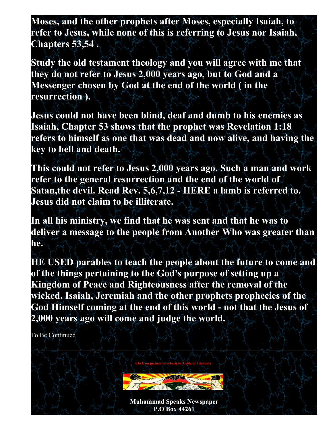**Moses, and the other prophets after Moses, especially Isaiah, to refer to Jesus, while none of this is referring to Jesus nor Isaiah, Chapters 53,54 .**

**Study the old testament theology and you will agree with me that they do not refer to Jesus 2,000 years ago, but to God and a Messenger chosen by God at the end of the world ( in the resurrection ).**

**Jesus could not have been blind, deaf and dumb to his enemies as Isaiah, Chapter 53 shows that the prophet was Revelation 1:18 refers to himself as one that was dead and now alive, and having the key to hell and death.**

**This could not refer to Jesus 2,000 years ago. Such a man and work refer to the general resurrection and the end of the world of Satan,the devil. Read Rev. 5,6,7,12 - HERE a lamb is referred to. Jesus did not claim to be illiterate.**

**In all his ministry, we find that he was sent and that he was to deliver a message to the people from Another Who was greater than he.**

**HE USED parables to teach the people about the future to come and of the things pertaining to the God's purpose of setting up a Kingdom of Peace and Righteousness after the removal of the wicked. Isaiah, Jeremiah and the other prophets prophecies of the God Himself coming at the end of this world - not that the Jesus of 2,000 years ago will come and judge the world.**

To Be Continued

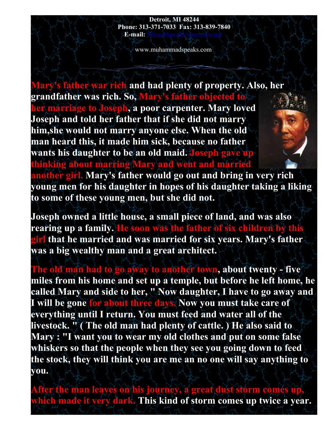#### **Detroit, MI 48244 Phone: 313-371-7033 Fax: 313-839-7840 E-mail:**

www.muhammadspeaks.com

**Mary's father war rich and had plenty of property. Also, her grandfather was rich. So, Mary's father objected to her marriage to Joseph, a poor carpenter. Mary loved Joseph and told her father that if she did not marry him,she would not marry anyone else. When the old man heard this, it made him sick, because no father wants his daughter to be an old maid. Joseph gave up thinking about marring Mary and went and married another girl. Mary's father would go out and bring in very rich young men for his daughter in hopes of his daughter taking a liking to some of these young men, but she did not.**

**Joseph owned a little house, a small piece of land, and was also rearing up a family. He soon was the father of six children by this girl that he married and was married for six years. Mary's father was a big wealthy man and a great architect.**

**The old man had to go away to another town, about twenty - five miles from his home and set up a temple, but before he left home, he called Mary and side to her, " Now daughter, I have to go away and I will be gone for about three days. Now you must take care of everything until I return. You must feed and water all of the livestock. " ( The old man had plenty of cattle. ) He also said to Mary : "I want you to wear my old clothes and put on some false whiskers so that the people when they see you going down to feed the stock, they will think you are me an no one will say anything to you.**

**After the man leaves on his journey, a great dust storm comes up, which made it very dark. This kind of storm comes up twice a year.**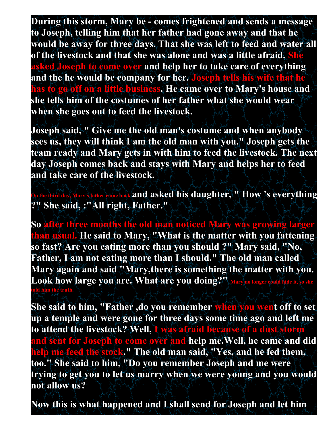**During this storm, Mary be - comes frightened and sends a message to Joseph, telling him that her father had gone away and that he would be away for three days. That she was left to feed and water all of the livestock and that she was alone and was a little afraid. She asked Joseph to come over and help her to take care of everything and the he would be company for her. Joseph tells his wife that he has to go off on a little business. He came over to Mary's house and she tells him of the costumes of her father what she would wear when she goes out to feed the livestock.**

**Joseph said, " Give me the old man's costume and when anybody sees us, they will think I am the old man with you." Joseph gets the team ready and Mary gets in with him to feed the livestock. The next day Joseph comes back and stays with Mary and helps her to feed and take care of the livestock.**

**On the third day, Mary's father came back and asked his daughter, " How 's everything ?" She said, :"All right, Father."**

So after three months the old man noticed Mary was growing larger **than usual. He said to Mary, "What is the matter with you fattening so fast? Are you eating more than you should ?" Mary said, "No, Father, I am not eating more than I should." The old man called Mary again and said "Mary,there is something the matter with you.**  Look how large you are. What are you doing?", Mary no longer could hide it **told him the truth.**

**She said to him, "Father ,do you remember when you went off to set up a temple and were gone for three days some time ago and left me to attend the livestock? Well, I was afraid because of a dust storm and sent for Joseph to come over and help me.Well, he came and did help me feed the stock." The old man said, "Yes, and he fed them, too." She said to him, "Do you remember Joseph and me were trying to get you to let us marry when we were young and you would not allow us?**

**Now this is what happened and I shall send for Joseph and let him**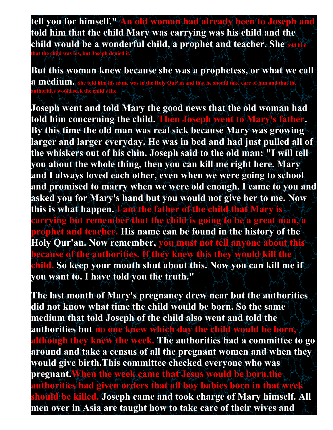tell you for himself." An old woman had already been to Joseph **told him that the child Mary was carrying was his child and the child would be a wonderful child, a prophet and teacher. She told him** 

**at the child was his, but Josep** 

**But this woman knew because she was a prophetess, or what we call a medium.** She told him his name was in the Holy Qur'an and that he should take care of him and that the **authorities would seek the child's life.**

**Joseph went and told Mary the good news that the old woman had told him concerning the child. Then Joseph went to Mary's father. By this time the old man was real sick because Mary was growing larger and larger everyday. He was in bed and had just pulled all of the whiskers out of his chin. Joseph said to the old man: "I will tell you about the whole thing, then you can kill me right here. Mary and I always loved each other, even when we were going to school and promised to marry when we were old enough. I came to you and asked you for Mary's hand but you would not give her to me. Now this is what happen. I am the father of the child that Mary is carrying but remember that the child is going to be a great man, a prophet and teacher. His name can be found in the history of the Holy Qur'an. Now remember, you must not tell anyone about this because of the authorities. If they knew this they would kill the child. So keep your mouth shut about this. Now you can kill me if you want to. I have told you the truth."**

**The last month of Mary's pregnancy drew near but the authorities did not know what time the child would be born. So the same medium that told Joseph of the child also went and told the authorities but no one knew which day the child would be born, although they knew the week. The authorities had a committee to go around and take a census of all the pregnant women and when they would give birth.This committee checked everyone who was pregnant.When the week came that Jesus would be born,the authorities had given orders that all boy babies born in that week should be killed. Joseph came and took charge of Mary himself. All men over in Asia are taught how to take care of their wives and**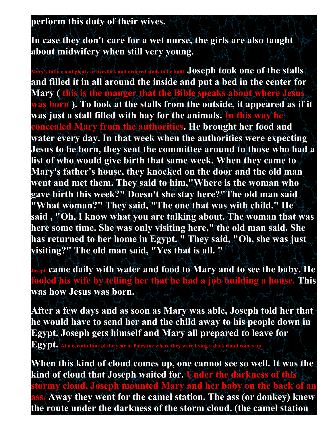### **perform this duty of their wives.**

**In case they don't care for a wet nurse, the girls are also taught about midwifery when still very young.**

**Mordered stalls to be built. Joseph took one of the stalls and filled it in all around the inside and put a bed in the center for Mary ( this is the manger that the Bible speaks about where Jesus was born ). To look at the stalls from the outside, it appeared as if it was just a stall filled with hay for the animals. In this way he concealed Mary from the authorities. He brought her food and water every day. In that week when the authorities were expecting Jesus to be born, they sent the committee around to those who had a list of who would give birth that same week. When they came to Mary's father's house, they knocked on the door and the old man went and met them. They said to him,"Where is the woman who gave birth this week?" Doesn't she stay here?"The old man said "What woman?" They said, "The one that was with child." He said , "Oh, I know what you are talking about. The woman that was here some time. She was only visiting here," the old man said. She has returned to her home in Egypt. " They said, "Oh, she was just visiting?" The old man said, "Yes that is all. "**

**Joseph came daily with water and food to Mary and to see the baby. He fooled his wife by telling her that he had a job building a house. This was how Jesus was born.**

**After a few days and as soon as Mary was able, Joseph told her that he would have to send her and the child away to his people down in Egypt. Joseph gets himself and Mary all prepared to leave for** 

**Egypt. At a certain time of the year in Palestine where they were living a dark cloud comes up.** 

**When this kind of cloud comes up, one cannot see so well. It was the kind of cloud that Joseph waited for. Under the darkness of this stormy cloud, Joseph mounted Mary and her baby on the back of an ass. Away they went for the camel station. The ass (or donkey) knew the route under the darkness of the storm cloud. (the camel station**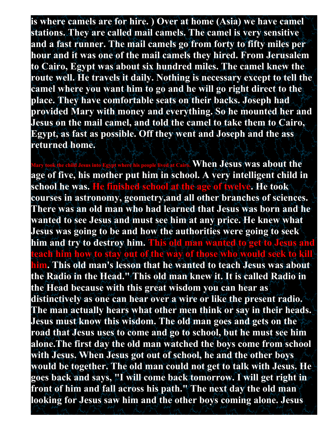**is where camels are for hire. ) Over at home (Asia) we have camel stations. They are called mail camels. The camel is very sensitive and a fast runner. The mail camels go from forty to fifty miles per hour and it was one of the mail camels they hired. From Jerusalem to Cairo, Egypt was about six hundred miles. The camel knew the route well. He travels it daily. Nothing is necessary except to tell the camel where you want him to go and he will go right direct to the place. They have comfortable seats on their backs. Joseph had provided Mary with money and everything. So he mounted her and Jesus on the mail camel, and told the camel to take them to Cairo, Egypt, as fast as possible. Off they went and Joseph and the ass returned home.**

where his people lived at Cairo. **When Jesus was about the age of five, his mother put him in school. A very intelligent child in school he was. He finished school at the age of twelve. He took courses in astronomy, geometry,and all other branches of sciences. There was an old man who had learned that Jesus was born and he wanted to see Jesus and must see him at any price. He knew what Jesus was going to be and how the authorities were going to seek him and try to destroy him. This old man wanted to get to Jesus and teach him how to stay out of the way of those who would seek to kill him. This old man's lesson that he wanted to teach Jesus was about the Radio in the Head." This old man knew it. It is called Radio in the Head because with this great wisdom you can hear as distinctively as one can hear over a wire or like the present radio. The man actually hears what other men think or say in their heads. Jesus must know this wisdom. The old man goes and gets on the road that Jesus uses to come and go to school, but he must see him alone.The first day the old man watched the boys come from school with Jesus. When Jesus got out of school, he and the other boys would be together. The old man could not get to talk with Jesus. He goes back and says, "I will come back tomorrow. I will get right in front of him and fall across his path." The next day the old man looking for Jesus saw him and the other boys coming alone. Jesus**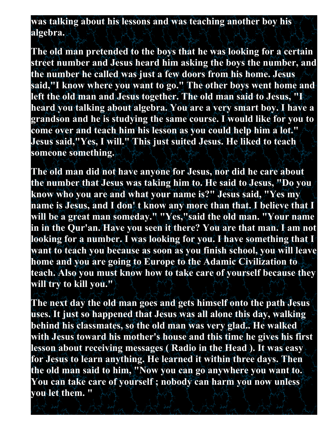**was talking about his lessons and was teaching another boy his algebra.**

**The old man pretended to the boys that he was looking for a certain street number and Jesus heard him asking the boys the number, and the number he called was just a few doors from his home. Jesus said,"I know where you want to go." The other boys went home and left the old man and Jesus together. The old man said to Jesus, "I heard you talking about algebra. You are a very smart boy. I have a grandson and he is studying the same course. I would like for you to come over and teach him his lesson as you could help him a lot." Jesus said,"Yes, I will." This just suited Jesus. He liked to teach someone something.**

**The old man did not have anyone for Jesus, nor did he care about the number that Jesus was taking him to. He said to Jesus, "Do you know who you are and what your name is?" Jesus said, "Yes my name is Jesus, and I don' t know any more than that. I believe that I will be a great man someday." "Yes,"said the old man. "Your name in in the Qur'an. Have you seen it there? You are that man. I am not looking for a number. I was looking for you. I have something that I want to teach you because as soon as you finish school, you will leave home and you are going to Europe to the Adamic Civilization to teach. Also you must know how to take care of yourself because they will try to kill you."**

**The next day the old man goes and gets himself onto the path Jesus uses. It just so happened that Jesus was all alone this day, walking behind his classmates, so the old man was very glad.. He walked with Jesus toward his mother's house and this time he gives his first lesson about receiving messages ( Radio in the Head ). It was easy for Jesus to learn anything. He learned it within three days. Then the old man said to him, "Now you can go anywhere you want to. You can take care of yourself ; nobody can harm you now unless you let them. "**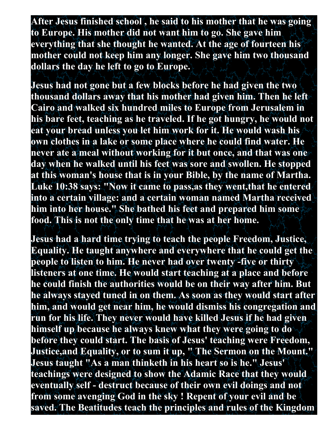**After Jesus finished school , he said to his mother that he was going to Europe. His mother did not want him to go. She gave him everything that she thought he wanted. At the age of fourteen his mother could not keep him any longer. She gave him two thousand dollars the day he left to go to Europe.**

**Jesus had not gone but a few blocks before he had given the two thousand dollars away that his mother had given him. Then he left Cairo and walked six hundred miles to Europe from Jerusalem in his bare feet, teaching as he traveled. If he got hungry, he would not eat your bread unless you let him work for it. He would wash his own clothes in a lake or some place where he could find water. He never ate a meal without working for it but once, and that was one day when he walked until his feet was sore and swollen. He stopped at this woman's house that is in your Bible, by the name of Martha. Luke 10:38 says: "Now it came to pass,as they went,that he entered into a certain village: and a certain woman named Martha received him into her house." She bathed his feet and prepared him some food. This is not the only time that he was at her home.**

**Jesus had a hard time trying to teach the people Freedom, Justice, Equality. He taught anywhere and everywhere that he could get the people to listen to him. He never had over twenty -five or thirty listeners at one time. He would start teaching at a place and before he could finish the authorities would be on their way after him. But he always stayed tuned in on them. As soon as they would start after him, and would get near him, he would dismiss his congregation and run for his life. They never would have killed Jesus if he had given himself up because he always knew what they were going to do before they could start. The basis of Jesus' teaching were Freedom, Justice,and Equality, or to sum it up, " The Sermon on the Mount." Jesus taught "As a man thinketh in his heart so is he." Jesus' teachings were designed to show the Adamic Race that they would eventually self - destruct because of their own evil doings and not from some avenging God in the sky ! Repent of your evil and be saved. The Beatitudes teach the principles and rules of the Kingdom**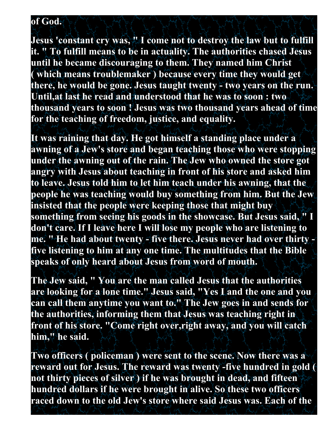#### **of God.**

**Jesus 'constant cry was, " I come not to destroy the law but to fulfill it. " To fulfill means to be in actuality. The authorities chased Jesus until he became discouraging to them. They named him Christ ( which means troublemaker ) because every time they would get there, he would be gone. Jesus taught twenty - two years on the run. Until,at last he read and understood that he was to soon : two thousand years to soon ! Jesus was two thousand years ahead of time for the teaching of freedom, justice, and equality.**

**It was raining that day. He got himself a standing place under a awning of a Jew's store and began teaching those who were stopping under the awning out of the rain. The Jew who owned the store got angry with Jesus about teaching in front of his store and asked him to leave. Jesus told him to let him teach under his awning, that the people he was teaching would buy something from him. But the Jew insisted that the people were keeping those that might buy something from seeing his goods in the showcase. But Jesus said, " I don't care. If I leave here I will lose my people who are listening to me. " He had about twenty - five there. Jesus never had over thirty five listening to him at any one time. The multitudes that the Bible speaks of only heard about Jesus from word of mouth.**

**The Jew said, " You are the man called Jesus that the authorities are looking for a lone time." Jesus said, "Yes I and the one and you can call them anytime you want to." The Jew goes in and sends for the authorities, informing them that Jesus was teaching right in front of his store. "Come right over,right away, and you will catch him," he said.**

**Two officers ( policeman ) were sent to the scene. Now there was a reward out for Jesus. The reward was twenty -five hundred in gold ( not thirty pieces of silver ) if he was brought in dead, and fifteen hundred dollars if he were brought in alive. So these two officers raced down to the old Jew's store where said Jesus was. Each of the**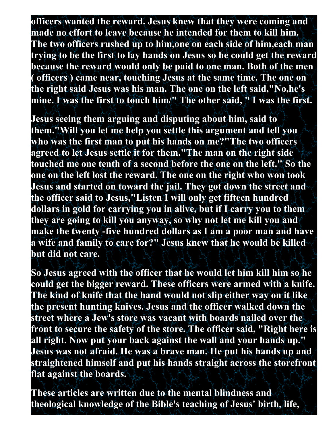**officers wanted the reward. Jesus knew that they were coming and made no effort to leave because he intended for them to kill him. The two officers rushed up to him,one on each side of him,each man trying to be the first to lay hands on Jesus so he could get the reward because the reward would only be paid to one man. Both of the men ( officers ) came near, touching Jesus at the same time. The one on the right said Jesus was his man. The one on the left said,"No,he's mine. I was the first to touch him/" The other said, " I was the first.**

**Jesus seeing them arguing and disputing about him, said to them."Will you let me help you settle this argument and tell you who was the first man to put his hands on me?"The two officers agreed to let Jesus settle it for them."The man on the right side touched me one tenth of a second before the one on the left." So the one on the left lost the reward. The one on the right who won took Jesus and started on toward the jail. They got down the street and the officer said to Jesus,"Listen I will only get fifteen hundred dollars in gold for carrying you in alive, but if I carry you to them they are going to kill you anyway, so why not let me kill you and make the twenty -five hundred dollars as I am a poor man and have a wife and family to care for?" Jesus knew that he would be killed but did not care.**

**So Jesus agreed with the officer that he would let him kill him so he could get the bigger reward. These officers were armed with a knife. The kind of knife that the hand would not slip either way on it like the present hunting knives. Jesus and the officer walked down the street where a Jew's store was vacant with boards nailed over the front to secure the safety of the store. The officer said, "Right here is all right. Now put your back against the wall and your hands up." Jesus was not afraid. He was a brave man. He put his hands up and straightened himself and put his hands straight across the storefront flat against the boards.**

**These articles are written due to the mental blindness and theological knowledge of the Bible's teaching of Jesus' birth, life,**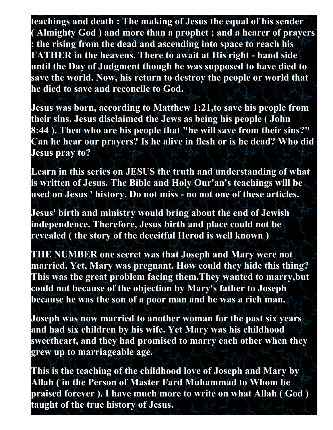**teachings and death : The making of Jesus the equal of his sender ( Almighty God ) and more than a prophet ; and a hearer of prayers ; the rising from the dead and ascending into space to reach his FATHER in the heavens. There to await at His right - hand side until the Day of Judgment though he was supposed to have died to save the world. Now, his return to destroy the people or world that he died to save and reconcile to God.**

**Jesus was born, according to Matthew 1:21,to save his people from their sins. Jesus disclaimed the Jews as being his people ( John 8:44 ). Then who are his people that "he will save from their sins?" Can he hear our prayers? Is he alive in flesh or is he dead? Who did Jesus pray to?**

**Learn in this series on JESUS the truth and understanding of what is written of Jesus. The Bible and Holy Our'an's teachings will be used on Jesus ' history. Do not miss - no not one of these articles.**

**Jesus' birth and ministry would bring about the end of Jewish independence. Therefore, Jesus birth and place could not be revealed ( the story of the deceitful Herod is well known )**

**THE NUMBER one secret was that Joseph and Mary were not married. Yet, Mary was pregnant. How could they hide this thing? This was the great problem facing them.They wanted to marry,but could not because of the objection by Mary's father to Joseph because he was the son of a poor man and he was a rich man.**

**Joseph was now married to another woman for the past six years and had six children by his wife. Yet Mary was his childhood sweetheart, and they had promised to marry each other when they grew up to marriageable age.**

**This is the teaching of the childhood love of Joseph and Mary by Allah ( in the Person of Master Fard Muhammad to Whom be praised forever ). I have much more to write on what Allah ( God ) taught of the true history of Jesus.**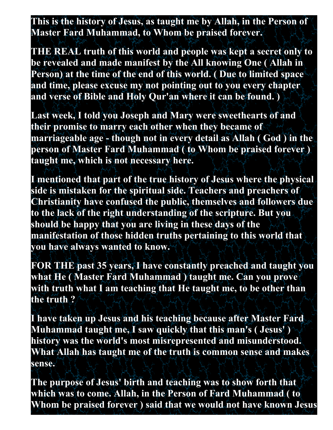**This is the history of Jesus, as taught me by Allah, in the Person of Master Fard Muhammad, to Whom be praised forever.**

**THE REAL truth of this world and people was kept a secret only to be revealed and made manifest by the All knowing One ( Allah in Person) at the time of the end of this world. ( Due to limited space and time, please excuse my not pointing out to you every chapter and verse of Bible and Holy Qur'an where it can be found. )**

**Last week, I told you Joseph and Mary were sweethearts of and their promise to marry each other when they became of marriageable age - though not in every detail as Allah ( God ) in the person of Master Fard Muhammad ( to Whom be praised forever ) taught me, which is not necessary here.**

**I mentioned that part of the true history of Jesus where the physical side is mistaken for the spiritual side. Teachers and preachers of Christianity have confused the public, themselves and followers due to the lack of the right understanding of the scripture. But you should be happy that you are living in these days of the manifestation of those hidden truths pertaining to this world that you have always wanted to know.**

**FOR THE past 35 years, I have constantly preached and taught you what He ( Master Fard Muhammad ) taught me. Can you prove with truth what I am teaching that He taught me, to be other than the truth ?**

**I have taken up Jesus and his teaching because after Master Fard Muhammad taught me, I saw quickly that this man's ( Jesus' ) history was the world's most misrepresented and misunderstood. What Allah has taught me of the truth is common sense and makes sense.**

**The purpose of Jesus' birth and teaching was to show forth that which was to come. Allah, in the Person of Fard Muhammad ( to Whom be praised forever ) said that we would not have known Jesus**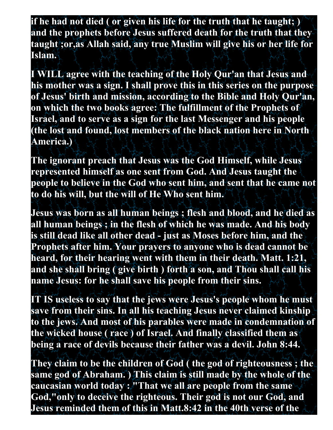**if he had not died ( or given his life for the truth that he taught; ) and the prophets before Jesus suffered death for the truth that they taught ;or,as Allah said, any true Muslim will give his or her life for Islam.**

**I WILL agree with the teaching of the Holy Qur'an that Jesus and his mother was a sign. I shall prove this in this series on the purpose of Jesus' birth and mission, according to the Bible and Holy Qur'an, on which the two books agree: The fulfillment of the Prophets of Israel, and to serve as a sign for the last Messenger and his people (the lost and found, lost members of the black nation here in North America.)**

**The ignorant preach that Jesus was the God Himself, while Jesus represented himself as one sent from God. And Jesus taught the people to believe in the God who sent him, and sent that he came not to do his will, but the will of He Who sent him.**

**Jesus was born as all human beings ; flesh and blood, and he died as all human beings ; in the flesh of which he was made. And his body is still dead like all other dead - just as Moses before him, and the Prophets after him. Your prayers to anyone who is dead cannot be heard, for their hearing went with them in their death. Matt. 1:21, and she shall bring ( give birth ) forth a son, and Thou shall call his name Jesus: for he shall save his people from their sins.**

**IT IS useless to say that the jews were Jesus's people whom he must save from their sins. In all his teaching Jesus never claimed kinship to the jews. And most of his parables were made in condemnation of the wicked house ( race ) of Israel. And finally classified them as being a race of devils because their father was a devil. John 8:44.**

**They claim to be the children of God ( the god of righteousness ; the same god of Abraham. ) This claim is still made by the whole of the caucasian world today : "That we all are people from the same God,"only to deceive the righteous. Their god is not our God, and Jesus reminded them of this in Matt.8:42 in the 40th verse of the**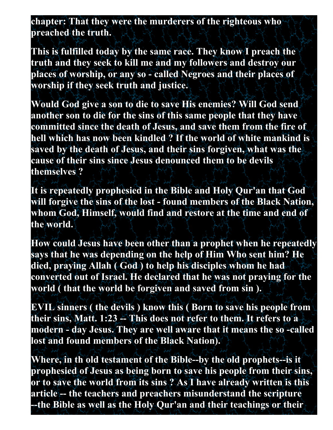**chapter: That they were the murderers of the righteous who preached the truth.**

**This is fulfilled today by the same race. They know I preach the truth and they seek to kill me and my followers and destroy our places of worship, or any so - called Negroes and their places of worship if they seek truth and justice.**

**Would God give a son to die to save His enemies? Will God send another son to die for the sins of this same people that they have committed since the death of Jesus, and save them from the fire of hell which has now been kindled ? If the world of white mankind is saved by the death of Jesus, and their sins forgiven, what was the cause of their sins since Jesus denounced them to be devils themselves ?**

**It is repeatedly prophesied in the Bible and Holy Qur'an that God will forgive the sins of the lost - found members of the Black Nation, whom God, Himself, would find and restore at the time and end of the world.**

**How could Jesus have been other than a prophet when he repeatedly says that he was depending on the help of Him Who sent him? He died, praying Allah ( God ) to help his disciples whom he had converted out of Israel. He declared that he was not praying for the world ( that the world be forgiven and saved from sin ).**

**EVIL sinners ( the devils ) know this ( Born to save his people from their sins, Matt. 1:23 -- This does not refer to them. It refers to a modern - day Jesus. They are well aware that it means the so -called lost and found members of the Black Nation).**

**Where, in th old testament of the Bible--by the old prophets--is it prophesied of Jesus as being born to save his people from their sins, or to save the world from its sins ? As I have already written is this article -- the teachers and preachers misunderstand the scripture --the Bible as well as the Holy Qur'an and their teachings or their**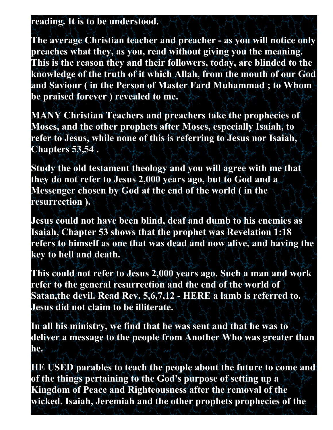#### **reading. It is to be understood.**

**The average Christian teacher and preacher - as you will notice only preaches what they, as you, read without giving you the meaning. This is the reason they and their followers, today, are blinded to the knowledge of the truth of it which Allah, from the mouth of our God and Saviour ( in the Person of Master Fard Muhammad ; to Whom be praised forever ) revealed to me.**

**MANY Christian Teachers and preachers take the prophecies of Moses, and the other prophets after Moses, especially Isaiah, to refer to Jesus, while none of this is referring to Jesus nor Isaiah, Chapters 53,54 .**

**Study the old testament theology and you will agree with me that they do not refer to Jesus 2,000 years ago, but to God and a Messenger chosen by God at the end of the world ( in the resurrection ).**

**Jesus could not have been blind, deaf and dumb to his enemies as Isaiah, Chapter 53 shows that the prophet was Revelation 1:18 refers to himself as one that was dead and now alive, and having the key to hell and death.**

**This could not refer to Jesus 2,000 years ago. Such a man and work refer to the general resurrection and the end of the world of Satan,the devil. Read Rev. 5,6,7,12 - HERE a lamb is referred to. Jesus did not claim to be illiterate.**

**In all his ministry, we find that he was sent and that he was to deliver a message to the people from Another Who was greater than he.**

**HE USED parables to teach the people about the future to come and of the things pertaining to the God's purpose of setting up a Kingdom of Peace and Righteousness after the removal of the wicked. Isaiah, Jeremiah and the other prophets prophecies of the**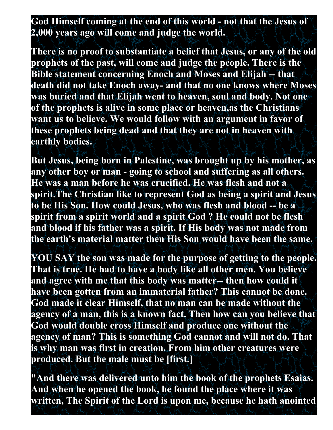# **God Himself coming at the end of this world - not that the Jesus of 2,000 years ago will come and judge the world.**

**There is no proof to substantiate a belief that Jesus, or any of the old prophets of the past, will come and judge the people. There is the Bible statement concerning Enoch and Moses and Elijah -- that death did not take Enoch away- and that no one knows where Moses was buried and that Elijah went to heaven, soul and body. Not one of the prophets is alive in some place or heaven,as the Christians want us to believe. We would follow with an argument in favor of these prophets being dead and that they are not in heaven with earthly bodies.** 

**But Jesus, being born in Palestine, was brought up by his mother, as any other boy or man - going to school and suffering as all others. He was a man before he was crucified. He was flesh and not a spirit.The Christian like to represent God as being a spirit and Jesus to be His Son. How could Jesus, who was flesh and blood -- be a spirit from a spirit world and a spirit God ? He could not be flesh and blood if his father was a spirit. If His body was not made from the earth's material matter then His Son would have been the same.** 

**YOU SAY the son was made for the purpose of getting to the people. That is true. He had to have a body like all other men. You believe and agree with me that this body was matter-- then how could it have been gotten from an immaterial father? This cannot be done. God made it clear Himself, that no man can be made without the agency of a man, this is a known fact. Then how can you believe that God would double cross Himself and produce one without the agency of man? This is something God cannot and will not do. That is why man was first in creation. From him other creatures were produced. But the male must be [first.]**

**"And there was delivered unto him the book of the prophets Esaias. And when he opened the book, he found the place where it was written, The Spirit of the Lord is upon me, because he hath anointed**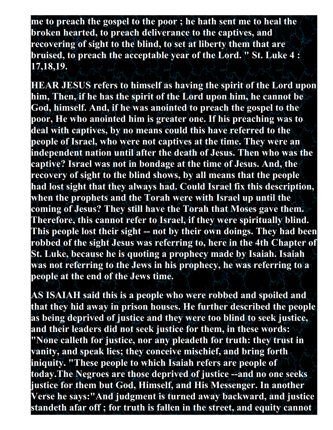**me to preach the gospel to the poor ; he hath sent me to heal the broken hearted, to preach deliverance to the captives, and recovering of sight to the blind, to set at liberty them that are bruised, to preach the acceptable year of the Lord. " St. Luke 4 : 17,18,19.**

**HEAR JESUS refers to himself as having the spirit of the Lord upon him, Then, if he has the spirit of the Lord upon him, he cannot be God, himself. And, if he was anointed to preach the gospel to the poor, He who anointed him is greater one. If his preaching was to deal with captives, by no means could this have referred to the people of Israel, who were not captives at the time. They were an independent nation until after the death of Jesus. Then who was the captive? Israel was not in bondage at the time of Jesus. And, the recovery of sight to the blind shows, by all means that the people had lost sight that they always had. Could Israel fix this description, when the prophets and the Torah were with Israel up until the coming of Jesus? They still have the Torah that Moses gave them. Therefore, this cannot refer to Israel, if they were spiritually blind. This people lost their sight -- not by their own doings. They had been robbed of the sight Jesus was referring to, here in the 4th Chapter of St. Luke, because he is quoting a prophecy made by Isaiah. Isaiah was not referring to the Jews in his prophecy, he was referring to a people at the end of the Jews time.** 

**AS ISAIAH said this is a people who were robbed and spoiled and that they hid away in prison houses. He further described the people as being deprived of justice and they were too blind to seek justice, and their leaders did not seek justice for them, in these words: "None calleth for justice, nor any pleadeth for truth: they trust in vanity, and speak lies; they conceive mischief, and bring forth iniquity. "These people to which Isaiah refers are people of today.The Negroes are those deprived of justice --and no one seeks justice for them but God, Himself, and His Messenger. In another Verse he says:"And judgment is turned away backward, and justice standeth afar off ; for truth is fallen in the street, and equity cannot**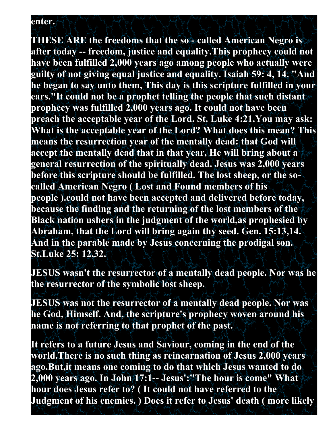#### **enter.**

**THESE ARE the freedoms that the so - called American Negro is after today -- freedom, justice and equality.This prophecy could not have been fulfilled 2,000 years ago among people who actually were guilty of not giving equal justice and equality. Isaiah 59: 4, 14. "And he began to say unto them, This day is this scripture fulfilled in your ears."It could not be a prophet telling the people that such distant prophecy was fulfilled 2,000 years ago. It could not have been preach the acceptable year of the Lord. St. Luke 4:21.You may ask: What is the acceptable year of the Lord? What does this mean? This means the resurrection year of the mentally dead: that God will accept the mentally dead that in that year, He will bring about a general resurrection of the spiritually dead. Jesus was 2,000 years before this scripture should be fulfilled. The lost sheep, or the socalled American Negro ( Lost and Found members of his people ).could not have been accepted and delivered before today, because the finding and the returning of the lost members of the Black nation ushers in the judgment of the world,as prophesied by Abraham, that the Lord will bring again thy seed. Gen. 15:13,14. And in the parable made by Jesus concerning the prodigal son. St.Luke 25: 12,32.**

**JESUS wasn't the resurrector of a mentally dead people. Nor was he the resurrector of the symbolic lost sheep.**

**JESUS was not the resurrector of a mentally dead people. Nor was he God, Himself. And, the scripture's prophecy woven around his name is not referring to that prophet of the past.**

**It refers to a future Jesus and Saviour, coming in the end of the world.There is no such thing as reincarnation of Jesus 2,000 years ago.But,it means one coming to do that which Jesus wanted to do 2,000 years ago. In John 17:1-- Jesus':"The hour is come" What hour does Jesus refer to? ( It could not have referred to the Judgment of his enemies. ) Does it refer to Jesus' death ( more likely**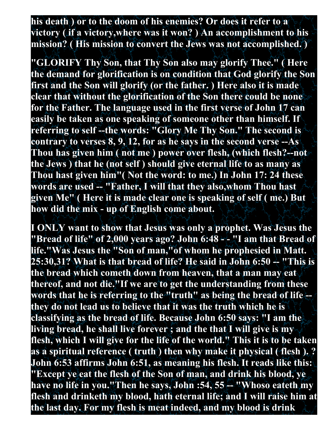**his death ) or to the doom of his enemies? Or does it refer to a victory ( if a victory,where was it won? ) An accomplishment to his mission? ( His mission to convert the Jews was not accomplished. )** 

**"GLORIFY Thy Son, that Thy Son also may glorify Thee." ( Here the demand for glorification is on condition that God glorify the Son first and the Son will glorify (or the father. ) Here also it is made clear that without the glorification of the Son there could be none for the Father. The language used in the first verse of John 17 can easily be taken as one speaking of someone other than himself. If referring to self --the words: "Glory Me Thy Son." The second is contrary to verses 8, 9, 12, for as he says in the second verse --As Thou has given him ( not me ) power over flesh, (which flesh?--not the Jews ) that he (not self ) should give eternal life to as many as Thou hast given him"( Not the word: to me.) In John 17: 24 these words are used -- "Father, I will that they also,whom Thou hast given Me" ( Here it is made clear one is speaking of self ( me.) But how did the mix - up of English come about.**

**I ONLY want to show that Jesus was only a prophet. Was Jesus the "Bread of life" of 2,000 years ago? John 6:48 - - "I am that Bread of life."Was Jesus the "Son of man,"of whom he prophesied in Matt. 25:30,31? What is that bread of life? He said in John 6:50 -- "This is the bread which cometh down from heaven, that a man may eat thereof, and not die."If we are to get the understanding from these words that he is referring to the "truth" as being the bread of life - they do not lead us to believe that it was the truth which he is classifying as the bread of life. Because John 6:50 says: "I am the living bread, he shall live forever ; and the that I will give is my flesh, which I will give for the life of the world." This it is to be taken as a spiritual reference ( truth ) then why make it physical ( flesh ). ? John 6:53 affirms John 6:51, as meaning his flesh. It reads like this: "Except ye eat the flesh of the Son of man, and drink his blood, ye have no life in you."Then he says, John :54, 55 -- "Whoso eateth my flesh and drinketh my blood, hath eternal life; and I will raise him at the last day. For my flesh is meat indeed, and my blood is drink**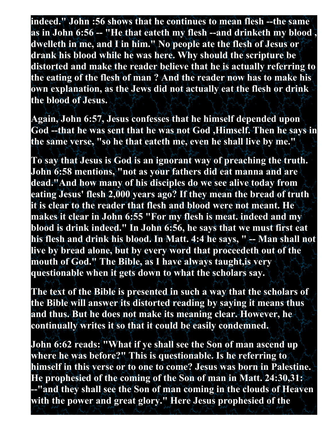**indeed." John :56 shows that he continues to mean flesh --the same as in John 6:56 -- "He that eateth my flesh --and drinketh my blood , dwelleth in me, and I in him." No people ate the flesh of Jesus or drank his blood while he was here. Why should the scripture be distorted and make the reader believe that he is actually referring to the eating of the flesh of man ? And the reader now has to make his own explanation, as the Jews did not actually eat the flesh or drink the blood of Jesus.**

**Again, John 6:57, Jesus confesses that he himself depended upon God --that he was sent that he was not God ,Himself. Then he says in the same verse, "so he that eateth me, even he shall live by me."**

**To say that Jesus is God is an ignorant way of preaching the truth. John 6:58 mentions, "not as your fathers did eat manna and are dead."And how many of his disciples do we see alive today from eating Jesus' flesh 2,000 years ago? If they mean the bread of truth it is clear to the reader that flesh and blood were not meant. He makes it clear in John 6:55 "For my flesh is meat. indeed and my blood is drink indeed." In John 6:56, he says that we must first eat his flesh and drink his blood. In Matt. 4:4 he says, " -- Man shall not live by bread alone, but by every word that proceedeth out of the mouth of God." The Bible, as I have always taught,is very questionable when it gets down to what the scholars say.** 

**The text of the Bible is presented in such a way that the scholars of the Bible will answer its distorted reading by saying it means thus and thus. But he does not make its meaning clear. However, he continually writes it so that it could be easily condemned.** 

**John 6:62 reads: "What if ye shall see the Son of man ascend up where he was before?" This is questionable. Is he referring to himself in this verse or to one to come? Jesus was born in Palestine. He prophesied of the coming of the Son of man in Matt. 24:30,31: --"and they shall see the Son of man coming in the clouds of Heaven with the power and great glory." Here Jesus prophesied of the**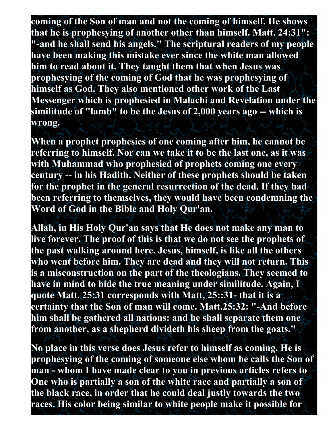**coming of the Son of man and not the coming of himself. He shows that he is prophesying of another other than himself. Matt. 24:31": "-and he shall send his angels." The scriptural readers of my people have been making this mistake ever since the white man allowed him to read about it. They taught them that when Jesus was prophesying of the coming of God that he was prophesying of himself as God. They also mentioned other work of the Last Messenger which is prophesied in Malachi and Revelation under the similitude of "lamb" to be the Jesus of 2,000 years ago -- which is wrong.** 

**When a prophet prophesies of one coming after him, he cannot be referring to himself. Nor can we take it to be the last one, as it was with Muhammad who prophesied of prophets coming one every century -- in his Hadith. Neither of these prophets should be taken for the prophet in the general resurrection of the dead. If they had been referring to themselves, they would have been condemning the Word of God in the Bible and Holy Qur'an.** 

**Allah, in His Holy Qur'an says that He does not make any man to live forever. The proof of this is that we do not see the prophets of the past walking around here. Jesus, himself, is like all the others who went before him. They are dead and they will not return. This is a misconstruction on the part of the theologians. They seemed to have in mind to hide the true meaning under similitude. Again, I quote Matt. 25:31 corresponds with Matt, 25::31- that it is a certainty that the Son of man will come. Matt.25:32: "-And before him shall be gathered all nations: and he shall separate them one from another, as a shepherd divideth his sheep from the goats."**

**No place in this verse does Jesus refer to himself as coming. He is prophesying of the coming of someone else whom he calls the Son of man - whom I have made clear to you in previous articles refers to One who is partially a son of the white race and partially a son of the black race, in order that he could deal justly towards the two races. His color being similar to white people make it possible for**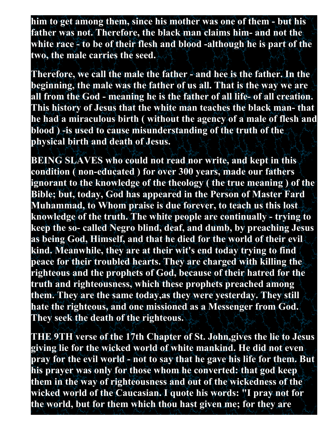**him to get among them, since his mother was one of them - but his father was not. Therefore, the black man claims him- and not the white race - to be of their flesh and blood -although he is part of the two, the male carries the seed.** 

**Therefore, we call the male the father - and hee is the father. In the beginning, the male was the father of us all. That is the way we are all from the God - meaning he is the father of all life- of all creation. This history of Jesus that the white man teaches the black man- that he had a miraculous birth ( without the agency of a male of flesh and blood ) -is used to cause misunderstanding of the truth of the physical birth and death of Jesus.** 

**BEING SLAVES who could not read nor write, and kept in this condition ( non-educated ) for over 300 years, made our fathers ignorant to the knowledge of the theology ( the true meaning ) of the Bible; but, today, God has appeared in the Person of Master Fard Muhammad, to Whom praise is due forever, to teach us this lost knowledge of the truth. The white people are continually - trying to keep the so- called Negro blind, deaf, and dumb, by preaching Jesus as being God, Himself, and that he died for the world of their evil kind. Meanwhile, they are at their wit's end today trying to find peace for their troubled hearts. They are charged with killing the righteous and the prophets of God, because of their hatred for the truth and righteousness, which these prophets preached among them. They are the same today,as they were yesterday. They still hate the righteous, and one missioned as a Messenger from God. They seek the death of the righteous.**

**THE 9TH verse of the 17th Chapter of St. John,gives the lie to Jesus giving lie for the wicked world of white mankind. He did not even pray for the evil world - not to say that he gave his life for them. But his prayer was only for those whom he converted: that god keep them in the way of righteousness and out of the wickedness of the wicked world of the Caucasian. I quote his words: "I pray not for the world, but for them which thou hast given me; for they are**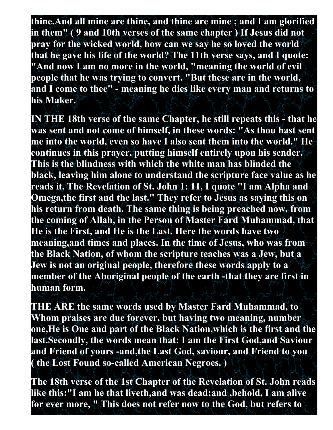**thine.And all mine are thine, and thine are mine ; and I am glorified in them" ( 9 and 10th verses of the same chapter ) If Jesus did not pray for the wicked world, how can we say he so loved the world that he gave his life of the world? The 11th verse says, and I quote: "And now I am no more in the world, "meaning the world of evil people that he was trying to convert. "But these are in the world, and I come to thee" - meaning he dies like every man and returns to his Maker.**

**IN THE 18th verse of the same Chapter, he still repeats this - that he was sent and not come of himself, in these words: "As thou hast sent me into the world, even so have I also sent them into the world." He continues in this prayer, putting himself entirely upon his sender. This is the blindness with which the white man has blinded the black, leaving him alone to understand the scripture face value as he reads it. The Revelation of St. John 1: 11, I quote "I am Alpha and Omega,the first and the last." They refer to Jesus as saying this on his return from death. The same thing is being preached now, from the coming of Allah, in the Person of Master Fard Muhammad, that He is the First, and He is the Last. Here the words have two meaning,and times and places. In the time of Jesus, who was from the Black Nation, of whom the scripture teaches was a Jew, but a Jew is not an original people, therefore these words apply to a member of the Aboriginal people of the earth -that they are first in human form.** 

**THE ARE the same words used by Master Fard Muhammad, to Whom praises are due forever, but having two meaning, number one,He is One and part of the Black Nation,which is the first and the last.Secondly, the words mean that: I am the First God,and Saviour and Friend of yours -and,the Last God, saviour, and Friend to you ( the Lost Found so-called American Negroes. )**

**The 18th verse of the 1st Chapter of the Revelation of St. John reads like this:"I am he that liveth,and was dead;and ,behold, I am alive for ever more, " This does not refer now to the God, but refers to**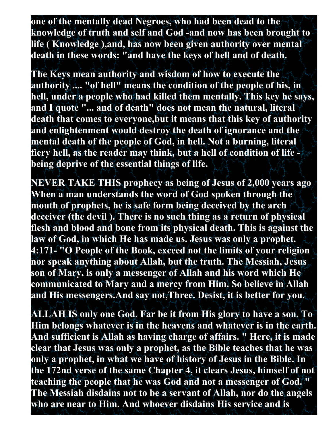**one of the mentally dead Negroes, who had been dead to the knowledge of truth and self and God -and now has been brought to life ( Knowledge ),and, has now been given authority over mental death in these words: "and have the keys of hell and of death.** 

**The Keys mean authority and wisdom of how to execute the authority .... "of hell" means the condition of the people of his, in hell, under a people who had killed them mentally. This key he says, and I quote "... and of death" does not mean the natural, literal death that comes to everyone,but it means that this key of authority and enlightenment would destroy the death of ignorance and the mental death of the people of God, in hell. Not a burning, literal fiery hell, as the reader may think, but a hell of condition of life being deprive of the essential things of life.** 

**NEVER TAKE THIS prophecy as being of Jesus of 2,000 years ago When a man understands the word of God spoken through the mouth of prophets, he is safe form being deceived by the arch deceiver (the devil ). There is no such thing as a return of physical flesh and blood and bone from its physical death. This is against the law of God, in which He has made us. Jesus was only a prophet. 4:171- "O People of the Book, exceed not the limits of your religion nor speak anything about Allah, but the truth. The Messiah, Jesus son of Mary, is only a messenger of Allah and his word which He communicated to Mary and a mercy from Him. So believe in Allah and His messengers.And say not,Three. Desist, it is better for you.**

**ALLAH IS only one God. Far be it from His glory to have a son. To Him belongs whatever is in the heavens and whatever is in the earth. And sufficient is Allah as having charge of affairs. " Here, it is made clear that Jesus was only a prophet, as the Bible teaches that he was only a prophet, in what we have of history of Jesus in the Bible. In the 172nd verse of the same Chapter 4, it clears Jesus, himself of not teaching the people that he was God and not a messenger of God. " The Messiah disdains not to be a servant of Allah, nor do the angels who are near to Him. And whoever disdains His service and is**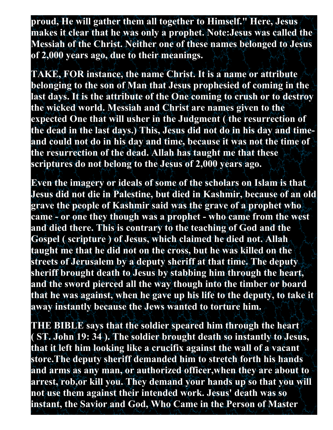**proud, He will gather them all together to Himself." Here, Jesus makes it clear that he was only a prophet. Note:Jesus was called the Messiah of the Christ. Neither one of these names belonged to Jesus of 2,000 years ago, due to their meanings.**

**TAKE, FOR instance, the name Christ. It is a name or attribute belonging to the son of Man that Jesus prophesied of coming in the last days. It is the attribute of the One coming to crush or to destroy the wicked world. Messiah and Christ are names given to the expected One that will usher in the Judgment ( the resurrection of the dead in the last days.) This, Jesus did not do in his day and timeand could not do in his day and time, because it was not the time of the resurrection of the dead. Allah has taught me that these scriptures do not belong to the Jesus of 2,000 years ago.**

**Even the imagery or ideals of some of the scholars on Islam is that Jesus did not die in Palestine, but died in Kashmir, because of an old grave the people of Kashmir said was the grave of a prophet who came - or one they though was a prophet - who came from the west and died there. This is contrary to the teaching of God and the Gospel ( scripture ) of Jesus, which claimed he died not. Allah taught me that he did not on the cross, but he was killed on the streets of Jerusalem by a deputy sheriff at that time. The deputy sheriff brought death to Jesus by stabbing him through the heart, and the sword pierced all the way though into the timber or board that he was against, when he gave up his life to the deputy, to take it away instantly because the Jews wanted to torture him.** 

**THE BIBLE says that the soldier speared him through the heart ( ST. John 19: 34 ). The soldier brought death so instantly to Jesus, that it left him looking like a crucifix against the wall of a vacant store.The deputy sheriff demanded him to stretch forth his hands and arms as any man, or authorized officer,when they are about to arrest, rob,or kill you. They demand your hands up so that you will not use them against their intended work. Jesus' death was so instant, the Savior and God, Who Came in the Person of Master**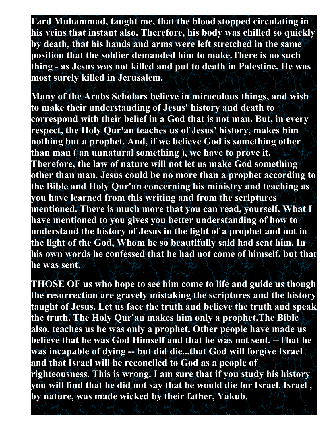**Fard Muhammad, taught me, that the blood stopped circulating in his veins that instant also. Therefore, his body was chilled so quickly by death, that his hands and arms were left stretched in the same position that the soldier demanded him to make.There is no such thing - as Jesus was not killed and put to death in Palestine. He was most surely killed in Jerusalem.**

**Many of the Arabs Scholars believe in miraculous things, and wish to make their understanding of Jesus' history and death to correspond with their belief in a God that is not man. But, in every respect, the Holy Qur'an teaches us of Jesus' history, makes him nothing but a prophet. And, if we believe God is something other than man ( an unnatural something ), we have to prove it. Therefore, the law of nature will not let us make God something other than man. Jesus could be no more than a prophet according to the Bible and Holy Qur'an concerning his ministry and teaching as you have learned from this writing and from the scriptures mentioned. There is much more that you can read, yourself. What I have mentioned to you gives you better understanding of how to understand the history of Jesus in the light of a prophet and not in the light of the God, Whom he so beautifully said had sent him. In his own words he confessed that he had not come of himself, but that he was sent.** 

**THOSE OF us who hope to see him come to life and guide us though the resurrection are gravely mistaking the scriptures and the history taught of Jesus. Let us face the truth and believe the truth and speak the truth. The Holy Qur'an makes him only a prophet.The Bible also, teaches us he was only a prophet. Other people have made us believe that he was God Himself and that he was not sent. --That he was incapable of dying -- but did die...that God will forgive Israel and that Israel will be reconciled to God as a people of righteousness. This is wrong. I am sure that if you study his history you will find that he did not say that he would die for Israel. Israel , by nature, was made wicked by their father, Yakub.**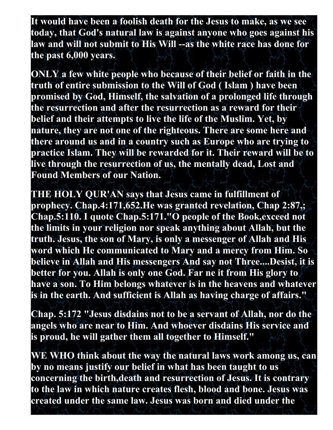**It would have been a foolish death for the Jesus to make, as we see today, that God's natural law is against anyone who goes against his law and will not submit to His Will --as the white race has done for the past 6,000 years.** 

**ONLY a few white people who because of their belief or faith in the truth of entire submission to the Will of God ( Islam ) have been promised by God, Himself, the salvation of a prolonged life through the resurrection and after the resurrection as a reward for their belief and their attempts to live the life of the Muslim. Yet, by nature, they are not one of the righteous. There are some here and there around us and in a country such as Europe who are trying to practice Islam. They will be rewarded for it. Their reward will be to live through the resurrection of us, the mentally dead, Lost and Found Members of our Nation.**

**THE HOLY QUR'AN says that Jesus came in fulfillment of prophecy. Chap.4:171,652.He was granted revelation, Chap 2:87,; Chap.5:110. I quote Chap.5:171."O people of the Book,exceed not the limits in your religion nor speak anything about Allah, but the truth. Jesus, the son of Mary, is only a messenger of Allah and His word which He communicated to Mary and a mercy from Him. So believe in Allah and His messengers And say not Three....Desist, it is better for you. Allah is only one God. Far ne it from His glory to have a son. To Him belongs whatever is in the heavens and whatever is in the earth. And sufficient is Allah as having charge of affairs."** 

**Chap. 5:172 "Jesus disdains not to be a servant of Allah, nor do the angels who are near to Him. And whoever disdains His service and is proud, he will gather them all together to Himself."** 

**WE WHO think about the way the natural laws work among us, can by no means justify our belief in what has been taught to us concerning the birth,death and resurrection of Jesus. It is contrary to the law in which nature creates flesh, blood and bone. Jesus was created under the same law. Jesus was born and died under the**